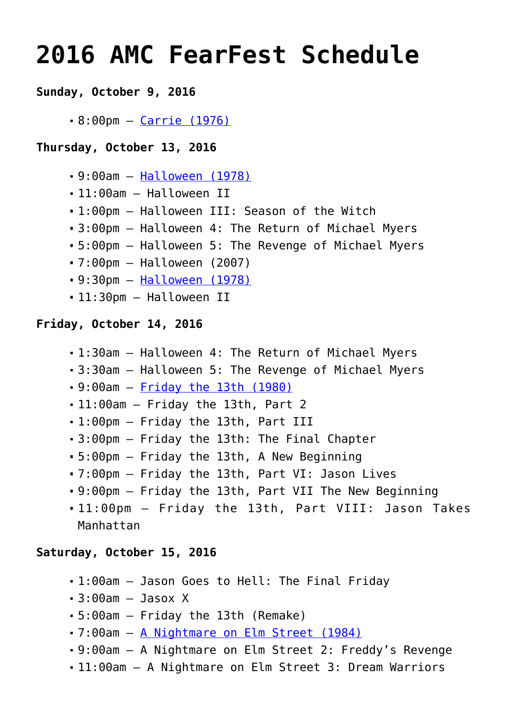# **[2016 AMC FearFest Schedule](https://www.halloweenmoviesontv.com/archives/2016-amc-fearfest-schedule/)**

# **Sunday, October 9, 2016**

8:00pm – [Carrie \(1976\)](http://www.halloweenmoviesontv.com/halloween-movies-a-to-z/carrie-1976/)

#### **Thursday, October 13, 2016**

- 9:00am – [Halloween \(1978\)](http://www.halloweenmoviesontv.com/halloween-movies-a-to-z/halloween-1978/)
- 11:00am Halloween II
- 1:00pm Halloween III: Season of the Witch
- 3:00pm Halloween 4: The Return of Michael Myers
- 5:00pm Halloween 5: The Revenge of Michael Myers
- 7:00pm Halloween (2007)
- 9:30pm – [Halloween \(1978\)](http://www.halloweenmoviesontv.com/halloween-movies-a-to-z/halloween-1978/)
- 11:30pm Halloween II

# **Friday, October 14, 2016**

- 1:30am Halloween 4: The Return of Michael Myers
- 3:30am Halloween 5: The Revenge of Michael Myers
- 9:00am – [Friday the 13th \(1980\)](http://www.halloweenmoviesontv.com/halloween-movies-a-to-z/friday-the-13th-1980/)
- 11:00am Friday the 13th, Part 2
- 1:00pm Friday the 13th, Part III
- 3:00pm Friday the 13th: The Final Chapter
- 5:00pm Friday the 13th, A New Beginning
- 7:00pm Friday the 13th, Part VI: Jason Lives
- 9:00pm Friday the 13th, Part VII The New Beginning
- 11:00pm Friday the 13th, Part VIII: Jason Takes Manhattan

# **Saturday, October 15, 2016**

- 1:00am Jason Goes to Hell: The Final Friday
- $-3:00$ am  $-$  Jasox X
- 5:00am Friday the 13th (Remake)
- 7:00am – [A Nightmare on Elm Street \(1984\)](http://www.halloweenmoviesontv.com/halloween-movies-a-to-z/a-nightmare-on-elm-street-1984/)
- 9:00am A Nightmare on Elm Street 2: Freddy's Revenge
- 11:00am A Nightmare on Elm Street 3: Dream Warriors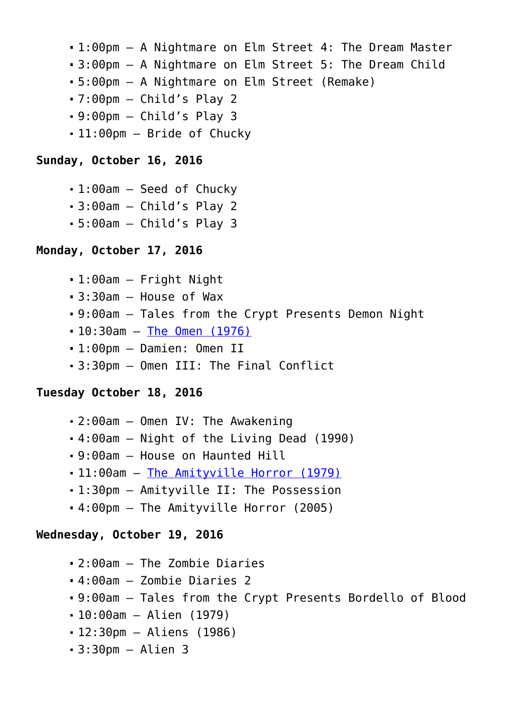- 1:00pm A Nightmare on Elm Street 4: The Dream Master
- 3:00pm A Nightmare on Elm Street 5: The Dream Child
- 5:00pm A Nightmare on Elm Street (Remake)
- $-7:00$ pm  $-$  Child's Play 2
- $-9:00$ pm  $-$  Child's Play 3
- 11:00pm Bride of Chucky

#### **Sunday, October 16, 2016**

- 1:00am Seed of Chucky
- 3:00am Child's Play 2
- 5:00am Child's Play 3

#### **Monday, October 17, 2016**

- 1:00am Fright Night
- 3:30am House of Wax
- 9:00am Tales from the Crypt Presents Demon Night
- 10:30am [The Omen \(1976\)](http://www.halloweenmoviesontv.com/halloween-movies-a-to-z/the-omen-1976/)
- 1:00pm Damien: Omen II
- 3:30pm Omen III: The Final Conflict

#### **Tuesday October 18, 2016**

- 2:00am Omen IV: The Awakening
- 4:00am Night of the Living Dead (1990)
- 9:00am House on Haunted Hill
- 11:00am [The Amityville Horror \(1979\)](http://www.halloweenmoviesontv.com/halloween-movies-a-to-z/the-amityville-horror-1979/)
- 1:30pm Amityville II: The Possession
- 4:00pm The Amityville Horror (2005)

#### **Wednesday, October 19, 2016**

- 2:00am The Zombie Diaries
- 4:00am Zombie Diaries 2
- 9:00am Tales from the Crypt Presents Bordello of Blood
- 10:00am Alien (1979)
- 12:30pm Aliens (1986)
- $-3:30$ pm Alien 3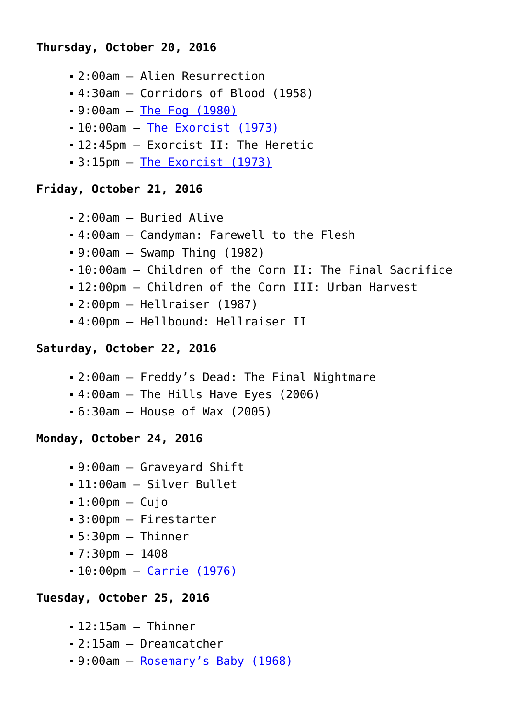# **Thursday, October 20, 2016**

- 2:00am Alien Resurrection
- 4:30am Corridors of Blood (1958)
- 9:00am – [The Fog \(1980\)](http://www.halloweenmoviesontv.com/halloween-movies-a-to-z/the-fog-1980/)
- 10:00am [The Exorcist \(1973\)](http://www.halloweenmoviesontv.com/halloween-movies-a-to-z/the-exorcist-1973/)
- 12:45pm Exorcist II: The Heretic
- $-3:15$ pm  $-$  [The Exorcist \(1973\)](http://www.halloweenmoviesontv.com/halloween-movies-a-to-z/the-exorcist-1973/)

# **Friday, October 21, 2016**

- 2:00am Buried Alive
- 4:00am Candyman: Farewell to the Flesh
- 9:00am Swamp Thing (1982)
- 10:00am Children of the Corn II: The Final Sacrifice
- 12:00pm Children of the Corn III: Urban Harvest
- 2:00pm Hellraiser (1987)
- 4:00pm Hellbound: Hellraiser II

# **Saturday, October 22, 2016**

- 2:00am Freddy's Dead: The Final Nightmare
- 4:00am The Hills Have Eyes (2006)
- 6:30am House of Wax (2005)

# **Monday, October 24, 2016**

- 9:00am Graveyard Shift
- 11:00am Silver Bullet
- $-1:00$ pm Cujo
- 3:00pm Firestarter
- $-5:30$ pm Thinner
- $-7:30 \text{pm} 1408$
- 10:00pm [Carrie \(1976\)](http://www.halloweenmoviesontv.com/halloween-movies-a-to-z/carrie-1976/)

# **Tuesday, October 25, 2016**

- $-12:15$ am  $-$  Thinner
- 2:15am Dreamcatcher
- 9:00am – [Rosemary's Baby \(1968\)](http://www.halloweenmoviesontv.com/halloween-movies-a-to-z/rosemarys-baby-1968/)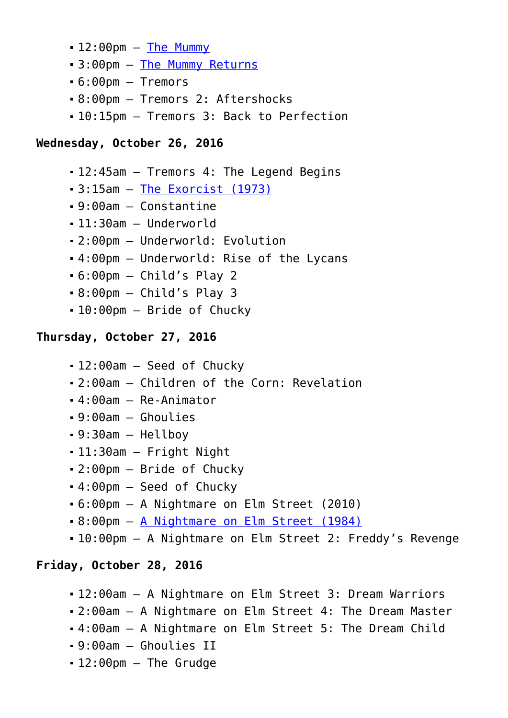- $-12:00$ pm  $-$  [The Mummy](http://www.halloweenmoviesontv.com/halloween-movies-a-to-z/the-mummy-1999/)
- 3:00pm – [The Mummy Returns](http://www.halloweenmoviesontv.com/halloween-movies-a-to-z/the-mummy-returns-2001/)
- 6:00pm Tremors
- 8:00pm Tremors 2: Aftershocks
- 10:15pm Tremors 3: Back to Perfection

# **Wednesday, October 26, 2016**

- 12:45am Tremors 4: The Legend Begins
- 3:15am – [The Exorcist \(1973\)](http://www.halloweenmoviesontv.com/halloween-movies-a-to-z/the-exorcist-1973/)
- 9:00am Constantine
- 11:30am Underworld
- 2:00pm Underworld: Evolution
- 4:00pm Underworld: Rise of the Lycans
- 6:00pm Child's Play 2
- 8:00pm Child's Play 3
- 10:00pm Bride of Chucky

# **Thursday, October 27, 2016**

- 12:00am Seed of Chucky
- 2:00am Children of the Corn: Revelation
- 4:00am Re-Animator
- 9:00am Ghoulies
- 9:30am Hellboy
- 11:30am Fright Night
- 2:00pm Bride of Chucky
- 4:00pm Seed of Chucky
- 6:00pm A Nightmare on Elm Street (2010)
- 8:00pm – [A Nightmare on Elm Street \(1984\)](http://www.halloweenmoviesontv.com/halloween-movies-a-to-z/a-nightmare-on-elm-street-1984/)
- 10:00pm A Nightmare on Elm Street 2: Freddy's Revenge

# **Friday, October 28, 2016**

- 12:00am A Nightmare on Elm Street 3: Dream Warriors
- 2:00am A Nightmare on Elm Street 4: The Dream Master
- 4:00am A Nightmare on Elm Street 5: The Dream Child
- 9:00am Ghoulies II
- 12:00pm The Grudge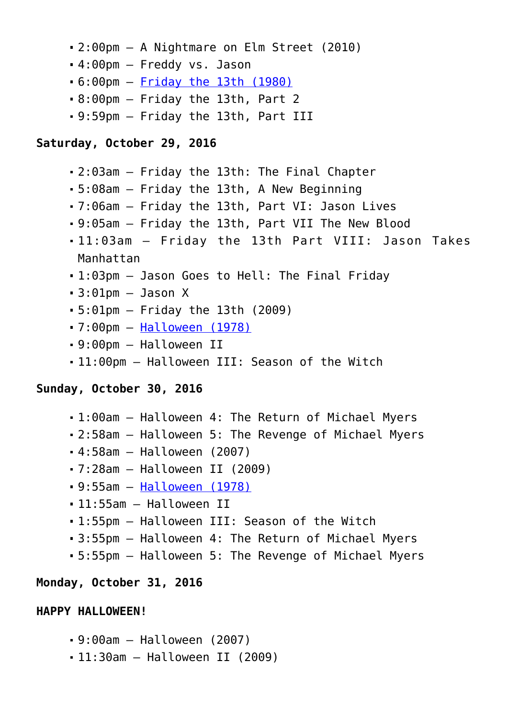- 2:00pm A Nightmare on Elm Street (2010)
- 4:00pm Freddy vs. Jason
- 6:00pm – [Friday the 13th \(1980\)](http://www.halloweenmoviesontv.com/halloween-movies-a-to-z/friday-the-13th-1980/)
- 8:00pm Friday the 13th, Part 2
- 9:59pm Friday the 13th, Part III

#### **Saturday, October 29, 2016**

- 2:03am Friday the 13th: The Final Chapter
- 5:08am Friday the 13th, A New Beginning
- 7:06am Friday the 13th, Part VI: Jason Lives
- 9:05am Friday the 13th, Part VII The New Blood
- 11:03am Friday the 13th Part VIII: Jason Takes Manhattan
- 1:03pm Jason Goes to Hell: The Final Friday
- $-3:01$ pm  $-$  Jason X
- 5:01pm Friday the 13th (2009)
- 7:00pm – [Halloween \(1978\)](http://www.halloweenmoviesontv.com/halloween-movies-a-to-z/halloween-1978/)
- 9:00pm Halloween II
- 11:00pm Halloween III: Season of the Witch

#### **Sunday, October 30, 2016**

- 1:00am Halloween 4: The Return of Michael Myers
- 2:58am Halloween 5: The Revenge of Michael Myers
- 4:58am Halloween (2007)
- 7:28am Halloween II (2009)
- 9:55am – [Halloween \(1978\)](http://www.halloweenmoviesontv.com/halloween-movies-a-to-z/halloween-1978/)
- 11:55am Halloween II
- 1:55pm Halloween III: Season of the Witch
- 3:55pm Halloween 4: The Return of Michael Myers
- 5:55pm Halloween 5: The Revenge of Michael Myers

#### **Monday, October 31, 2016**

#### **HAPPY HALLOWEEN!**

- 9:00am Halloween (2007)
- 11:30am Halloween II (2009)